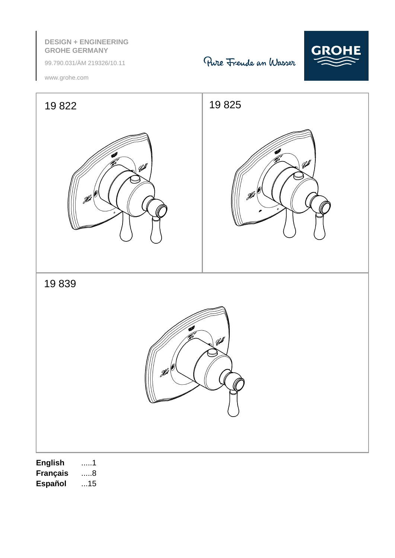# **DESIGN + ENGINEERING GROHE GERMANY**

99.790.031/ÄM 219326/10.11





www.grohe.com



**F** .....3 **DK** .....8 **GR** .....13 **SK** .....18 **LV** .....23 **RUS** .....28 **Español** ...15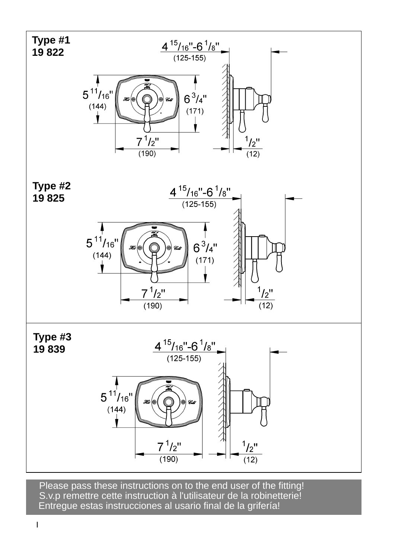

S.v.p remettre cette instruction à l'utilisateur de la robinetterie! Entregue estas instrucciones al usario final de la grifería! Please pass these instructions on to the end user of the fitting!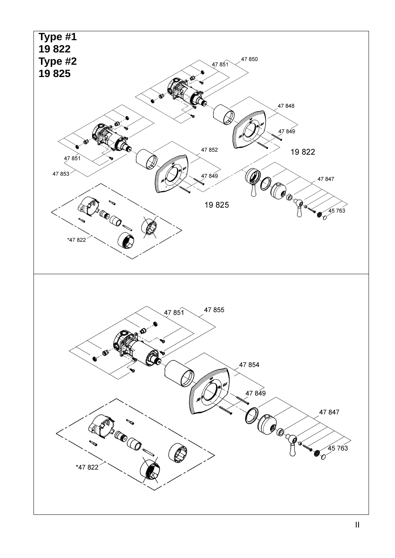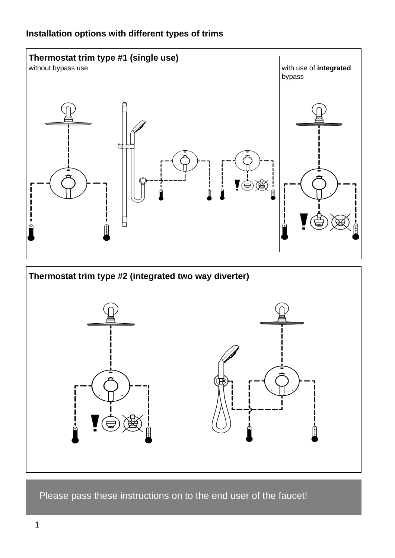

Please pass these instructions on to the end user of the faucet!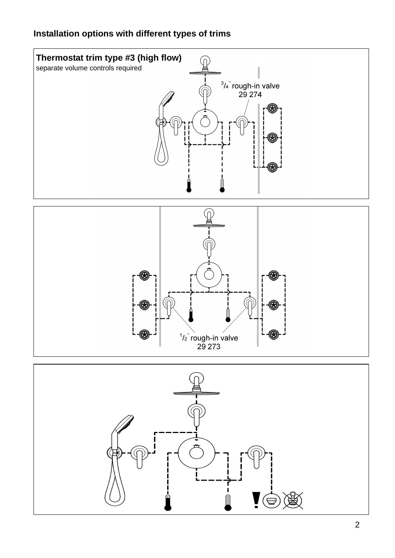# **Installation options with different types of trims**





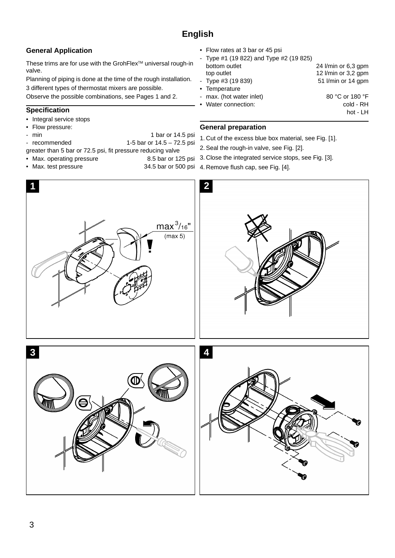## **General Application**

These trims are for use with the GrohFlex<sup>™</sup> universal rough-in valve.

Planning of piping is done at the time of the rough installation. 3 different types of thermostat mixers are possible.

Observe the possible combinations, see Pages 1 and 2.

## **Specification**

- Integral service stops
- Flow pressure: - min 1 bar or 14.5 psi
- 
- recommended 1-5 bar or 14.5 72.5 psi
- greater than 5 bar or 72.5 psi, fit pressure reducing valve
- Max. operating pressure 8.5 bar or 125 psi
- Max. test pressure 34.5 bar or 500 psi
- 
- Flow rates at 3 bar or 45 psi Type #1 (19 822) and Type #2 (19 825) bottom outlet 24 l/min or 6,3 gpm top outlet 12 l/min or 3,2 gpm - Type #3 (19 839) 51 l/min or 14 gpm • Temperature max. (hot water inlet) 80 °C or 180 °F • Water connection: cold - RH hot - LH

## **General preparation**

- 1. Cut of the excess blue box material, see Fig. [1].
- 2. Seal the rough-in valve, see Fig. [2].
- 3. Close the integrated service stops, see Fig. [3].
- 4. Remove flush cap, see Fig. [4].

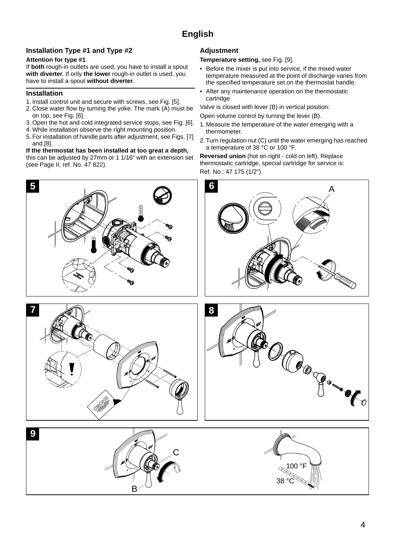## **Installation Type #1 and Type #2**

#### **Attention for type #1**

If **both** rough-in outlets are used, you have to install a spout **with diverter**. If only **the lower** rough-in outlet is used, you have to install a spout **without diverter**.

### **Installation**

- 1. Install control unit and secure with screws, see Fig. [5].
- 2. Close water flow by turning the yoke. The mark (A) must be on top, see Fig. [6].
- 3. Open the hot and cold integrated service stops, see Fig. [6].
- 4. While installation observe the right mounting position.
- 5. For installation of handle parts after adjustment, see Figs. [7] and [8].

#### **If the thermostat has been installed at too great a depth,**

this can be adjusted by 27mm or 1 1/16" with an extension set (see Page II, ref. No. 47 822).

## **Adjustment**

#### **Temperature setting,** see Fig. [9].

- Before the mixer is put into service, if the mixed water temperature measured at the point of discharge varies from the specified temperature set on the thermostat handle.
- After any maintenance operation on the thermostatic cartridge.

Valve is closed with lever (B) in vertical position:

Open volume control by turning the lever (B).

- 1. Measure the temperature of the water emerging with a thermometer.
- 2. Turn regulation nut (C) until the water emerging has reached a temperature of 38 °C or 100 °F.

**Reversed union** (hot on right - cold on left). Replace thermostatic cartridge, special cartridge for service is: Ref. No.: 47 175 (1/2").



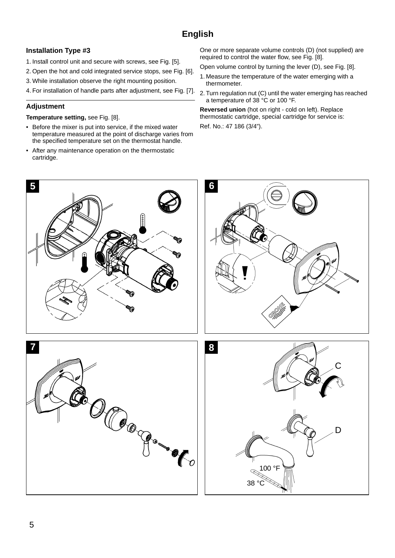## **Installation Type #3**

- 1. Install control unit and secure with screws, see Fig. [5].
- 2. Open the hot and cold integrated service stops, see Fig. [6].
- 3. While installation observe the right mounting position.
- 4. For installation of handle parts after adjustment, see Fig. [7].

## **Adjustment**

### **Temperature setting,** see Fig. [8].

- Before the mixer is put into service, if the mixed water temperature measured at the point of discharge varies from the specified temperature set on the thermostat handle.
- After any maintenance operation on the thermostatic cartridge.

One or more separate volume controls (D) (not supplied) are required to control the water flow, see Fig. [8].

- Open volume control by turning the lever (D), see Fig. [8].
- 1. Measure the temperature of the water emerging with a thermometer.
- 2. Turn regulation nut (C) until the water emerging has reached a temperature of 38 °C or 100 °F.

**Reversed union** (hot on right - cold on left). Replace thermostatic cartridge, special cartridge for service is: Ref. No.: 47 186 (3/4").

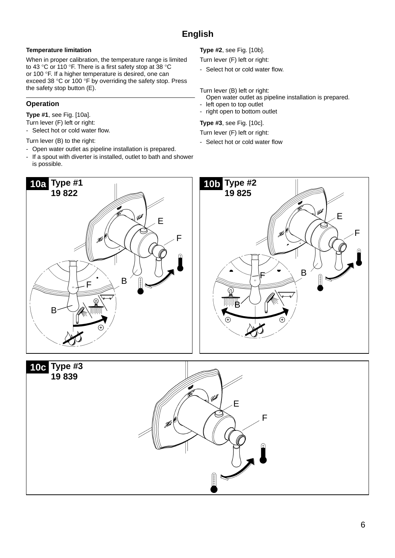## **Temperature limitation**

When in proper calibration, the temperature range is limited to 43 °C or 110 °F. There is a first safety stop at 38 °C or 100 °F. If a higher temperature is desired, one can exceed 38 °C or 100 °F by overriding the safety stop. Press the safety stop button (E).

# **Operation**

**Type #1**, see Fig. [10a].

- Turn lever (F) left or right:
- Select hot or cold water flow.
- Turn lever (B) to the right:
- Open water outlet as pipeline installation is prepared.
- If a spout with diverter is installed, outlet to bath and shower is possible.

**Type #2**, see Fig. [10b].

Turn lever (F) left or right:

- Select hot or cold water flow.

Turn lever (B) left or right:

- Open water outlet as pipeline installation is prepared.
- left open to top outlet
- right open to bottom outlet

### **Type #3**, see Fig. [10c].

Turn lever (F) left or right:

- Select hot or cold water flow